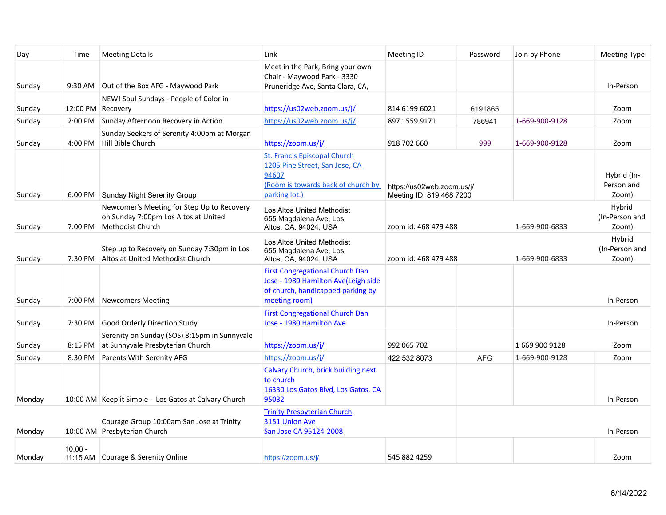| Day    | Time              | <b>Meeting Details</b>                                                                                        | Link                                                                                                                                  | Meeting ID                                             | Password   | Join by Phone  | <b>Meeting Type</b>                |
|--------|-------------------|---------------------------------------------------------------------------------------------------------------|---------------------------------------------------------------------------------------------------------------------------------------|--------------------------------------------------------|------------|----------------|------------------------------------|
| Sunday |                   | 9:30 AM Out of the Box AFG - Maywood Park                                                                     | Meet in the Park, Bring your own<br>Chair - Maywood Park - 3330<br>Pruneridge Ave, Santa Clara, CA,                                   |                                                        |            |                | In-Person                          |
| Sunday | 12:00 PM Recovery | NEW! Soul Sundays - People of Color in                                                                        | https://us02web.zoom.us/i/                                                                                                            | 814 6199 6021                                          | 6191865    |                | Zoom                               |
| Sunday | 2:00 PM           | Sunday Afternoon Recovery in Action                                                                           | https://us02web.zoom.us/j/                                                                                                            | 897 1559 9171                                          | 786941     | 1-669-900-9128 | Zoom                               |
| Sunday |                   | Sunday Seekers of Serenity 4:00pm at Morgan<br>4:00 PM   Hill Bible Church                                    | https://zoom.us/j/                                                                                                                    | 918 702 660                                            | 999        | 1-669-900-9128 | Zoom                               |
| Sunday |                   | 6:00 PM Sunday Night Serenity Group                                                                           | <b>St. Francis Episcopal Church</b><br>1205 Pine Street, San Jose, CA<br>94607<br>(Room is towards back of church by<br>parking lot.) | https://us02web.zoom.us/j/<br>Meeting ID: 819 468 7200 |            |                | Hybrid (In-<br>Person and<br>Zoom) |
| Sunday | 7:00 PM           | Newcomer's Meeting for Step Up to Recovery<br>on Sunday 7:00pm Los Altos at United<br><b>Methodist Church</b> | Los Altos United Methodist<br>655 Magdalena Ave, Los<br>Altos, CA, 94024, USA                                                         | zoom id: 468 479 488                                   |            | 1-669-900-6833 | Hybrid<br>(In-Person and<br>Zoom)  |
| Sunday |                   | Step up to Recovery on Sunday 7:30pm in Los<br>7:30 PM Altos at United Methodist Church                       | Los Altos United Methodist<br>655 Magdalena Ave, Los<br>Altos, CA, 94024, USA                                                         | zoom id: 468 479 488                                   |            | 1-669-900-6833 | Hybrid<br>(In-Person and<br>Zoom)  |
| Sunday |                   | 7:00 PM Newcomers Meeting                                                                                     | <b>First Congregational Church Dan</b><br>Jose - 1980 Hamilton Ave(Leigh side<br>of church, handicapped parking by<br>meeting room)   |                                                        |            |                | In-Person                          |
| Sunday |                   | 7:30 PM Good Orderly Direction Study                                                                          | <b>First Congregational Church Dan</b><br>Jose - 1980 Hamilton Ave                                                                    |                                                        |            |                | In-Person                          |
| Sunday | 8:15 PM           | Serenity on Sunday (SOS) 8:15pm in Sunnyvale<br>at Sunnyvale Presbyterian Church                              | https://zoom.us/j/                                                                                                                    | 992 065 702                                            |            | 1669 900 9128  | Zoom                               |
| Sunday | 8:30 PM           | Parents With Serenity AFG                                                                                     | https://zoom.us/j/                                                                                                                    | 422 532 8073                                           | <b>AFG</b> | 1-669-900-9128 | Zoom                               |
| Monday |                   | 10:00 AM Keep it Simple - Los Gatos at Calvary Church                                                         | Calvary Church, brick building next<br>to church<br>16330 Los Gatos Blvd, Los Gatos, CA<br>95032                                      |                                                        |            |                | In-Person                          |
| Monday |                   | Courage Group 10:00am San Jose at Trinity<br>10:00 AM Presbyterian Church                                     | <b>Trinity Presbyterian Church</b><br>3151 Union Ave<br>San Jose CA 95124-2008                                                        |                                                        |            |                | In-Person                          |
| Monday | $10:00 -$         | 11:15 AM Courage & Serenity Online                                                                            | https://zoom.us/j/                                                                                                                    | 545 882 4259                                           |            |                | Zoom                               |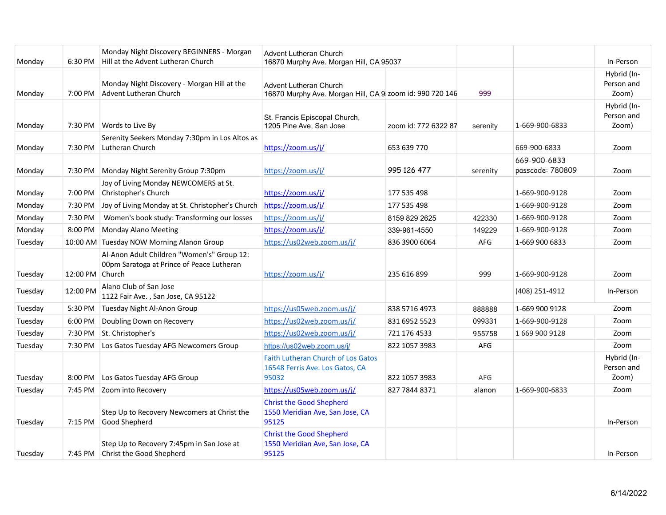| Monday  | 6:30 PM         | Monday Night Discovery BEGINNERS - Morgan<br>Hill at the Advent Lutheran Church         | Advent Lutheran Church<br>16870 Murphy Ave. Morgan Hill, CA 95037                         |                      |          |                                  | In-Person                          |
|---------|-----------------|-----------------------------------------------------------------------------------------|-------------------------------------------------------------------------------------------|----------------------|----------|----------------------------------|------------------------------------|
| Monday  |                 | Monday Night Discovery - Morgan Hill at the<br>7:00 PM Advent Lutheran Church           | <b>Advent Lutheran Church</b><br>16870 Murphy Ave. Morgan Hill, CA 9 zoom id: 990 720 146 |                      | 999      |                                  | Hybrid (In-<br>Person and<br>Zoom) |
| Monday  |                 | 7:30 PM Words to Live By                                                                | St. Francis Episcopal Church,<br>1205 Pine Ave, San Jose                                  | zoom id: 772 6322 87 | serenity | 1-669-900-6833                   | Hybrid (In-<br>Person and<br>Zoom) |
| Monday  |                 | Serenity Seekers Monday 7:30pm in Los Altos as<br>7:30 PM Lutheran Church               | https://zoom.us/i/                                                                        | 653 639 770          |          | 669-900-6833                     | Zoom                               |
| Monday  | 7:30 PM         | Monday Night Serenity Group 7:30pm                                                      | https://zoom.us/j/                                                                        | 995 126 477          | serenity | 669-900-6833<br>passcode: 780809 | Zoom                               |
| Monday  |                 | Joy of Living Monday NEWCOMERS at St.<br>7:00 PM Christopher's Church                   | https://zoom.us/j/                                                                        | 177 535 498          |          | 1-669-900-9128                   | Zoom                               |
| Monday  | 7:30 PM         | Joy of Living Monday at St. Christopher's Church                                        | https://zoom.us/j/                                                                        | 177 535 498          |          | 1-669-900-9128                   | Zoom                               |
| Monday  | 7:30 PM         | Women's book study: Transforming our losses                                             | https://zoom.us/j/                                                                        | 8159 829 2625        | 422330   | 1-669-900-9128                   | Zoom                               |
| Monday  | 8:00 PM         | Monday Alano Meeting                                                                    | https://zoom.us/j/                                                                        | 339-961-4550         | 149229   | 1-669-900-9128                   | Zoom                               |
| Tuesday |                 | 10:00 AM Tuesday NOW Morning Alanon Group                                               | https://us02web.zoom.us/j/                                                                | 836 3900 6064        | AFG      | 1-669 900 6833                   | Zoom                               |
| Tuesday | 12:00 PM Church | Al-Anon Adult Children "Women's" Group 12:<br>00pm Saratoga at Prince of Peace Lutheran | https://zoom.us/j/                                                                        | 235 616 899          | 999      | 1-669-900-9128                   | Zoom                               |
| Tuesday | 12:00 PM        | Alano Club of San Jose<br>1122 Fair Ave., San Jose, CA 95122                            |                                                                                           |                      |          | (408) 251-4912                   | In-Person                          |
| Tuesday | 5:30 PM         | Tuesday Night Al-Anon Group                                                             | https://us05web.zoom.us/j/                                                                | 838 5716 4973        | 888888   | 1-669 900 9128                   | Zoom                               |
| Tuesday | 6:00 PM         | Doubling Down on Recovery                                                               | https://us02web.zoom.us/j/                                                                | 831 6952 5523        | 099331   | 1-669-900-9128                   | Zoom                               |
| Tuesday | 7:30 PM         | St. Christopher's                                                                       | https://us02web.zoom.us/i/                                                                | 721 176 4533         | 955758   | 1 669 900 9128                   | Zoom                               |
| Tuesday | 7:30 PM         | Los Gatos Tuesday AFG Newcomers Group                                                   | https://us02web.zoom.us/j/                                                                | 822 1057 3983        | AFG      |                                  | Zoom                               |
| Tuesday | 8:00 PM         | Los Gatos Tuesday AFG Group                                                             | <b>Faith Lutheran Church of Los Gatos</b><br>16548 Ferris Ave. Los Gatos, CA<br>95032     | 822 1057 3983        | AFG      |                                  | Hybrid (In-<br>Person and<br>Zoom) |
| Tuesday | 7:45 PM         | Zoom into Recovery                                                                      | https://us05web.zoom.us/j/                                                                | 827 7844 8371        | alanon   | 1-669-900-6833                   | Zoom                               |
| Tuesday | 7:15 PM         | Step Up to Recovery Newcomers at Christ the<br>Good Shepherd                            | <b>Christ the Good Shepherd</b><br>1550 Meridian Ave, San Jose, CA<br>95125               |                      |          |                                  | In-Person                          |
| Tuesday |                 | Step Up to Recovery 7:45pm in San Jose at<br>7:45 PM   Christ the Good Shepherd         | <b>Christ the Good Shepherd</b><br>1550 Meridian Ave, San Jose, CA<br>95125               |                      |          |                                  | In-Person                          |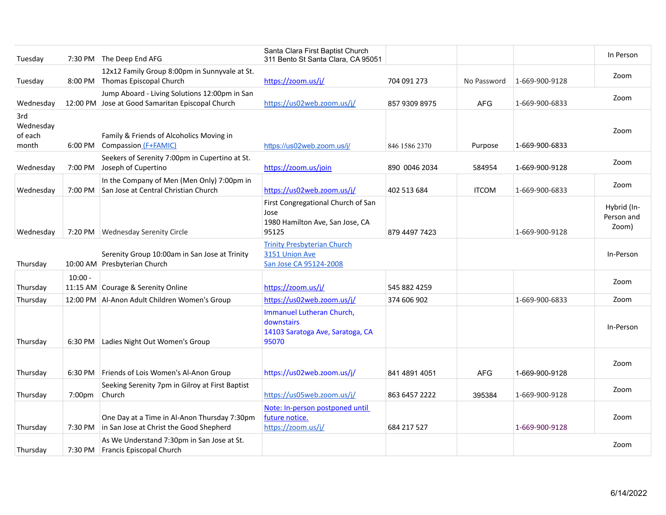| Tuesday                              |                    | 7:30 PM The Deep End AFG                                                                          | Santa Clara First Baptist Church<br>311 Bento St Santa Clara, CA 95051                 |               |              |                | In Person                          |
|--------------------------------------|--------------------|---------------------------------------------------------------------------------------------------|----------------------------------------------------------------------------------------|---------------|--------------|----------------|------------------------------------|
| Tuesday                              |                    | 12x12 Family Group 8:00pm in Sunnyvale at St.<br>8:00 PM Thomas Episcopal Church                  | https://zoom.us/j/                                                                     | 704 091 273   | No Password  | 1-669-900-9128 | Zoom                               |
| Wednesday                            |                    | Jump Aboard - Living Solutions 12:00pm in San<br>12:00 PM Jose at Good Samaritan Episcopal Church | https://us02web.zoom.us/j/                                                             | 857 9309 8975 | <b>AFG</b>   | 1-669-900-6833 | Zoom                               |
| 3rd<br>Wednesday<br>of each<br>month |                    | Family & Friends of Alcoholics Moving in<br>6:00 PM Compassion (F+FAMIC)                          | https://us02web.zoom.us/j/                                                             | 846 1586 2370 | Purpose      | 1-669-900-6833 | Zoom                               |
| Wednesday                            |                    | Seekers of Serenity 7:00pm in Cupertino at St.<br>7:00 PM Joseph of Cupertino                     | https://zoom.us/join                                                                   | 890 0046 2034 | 584954       | 1-669-900-9128 | Zoom                               |
| Wednesday                            | 7:00 PM            | In the Company of Men (Men Only) 7:00pm in<br>San Jose at Central Christian Church                | https://us02web.zoom.us/j/                                                             | 402 513 684   | <b>ITCOM</b> | 1-669-900-6833 | Zoom                               |
| Wednesday                            |                    | 7:20 PM Wednesday Serenity Circle                                                                 | First Congregational Church of San<br>Jose<br>1980 Hamilton Ave, San Jose, CA<br>95125 | 879 4497 7423 |              | 1-669-900-9128 | Hybrid (In-<br>Person and<br>Zoom) |
| Thursday                             |                    | Serenity Group 10:00am in San Jose at Trinity<br>10:00 AM Presbyterian Church                     | <b>Trinity Presbyterian Church</b><br>3151 Union Ave<br>San Jose CA 95124-2008         |               |              |                | In-Person                          |
| Thursday                             | $10:00 -$          | 11:15 AM Courage & Serenity Online                                                                | https://zoom.us/j/                                                                     | 545 882 4259  |              |                | Zoom                               |
| Thursday                             |                    | 12:00 PM   Al-Anon Adult Children Women's Group                                                   | https://us02web.zoom.us/j/                                                             | 374 606 902   |              | 1-669-900-6833 | Zoom                               |
| Thursday                             | 6:30 PM            | Ladies Night Out Women's Group                                                                    | Immanuel Lutheran Church,<br>downstairs<br>14103 Saratoga Ave, Saratoga, CA<br>95070   |               |              |                | In-Person                          |
| Thursday                             |                    | 6:30 PM Friends of Lois Women's Al-Anon Group                                                     | https://us02web.zoom.us/j/                                                             | 841 4891 4051 | <b>AFG</b>   | 1-669-900-9128 | Zoom                               |
| Thursday                             | 7:00 <sub>pm</sub> | Seeking Serenity 7pm in Gilroy at First Baptist<br>Church                                         | https://us05web.zoom.us/j/                                                             | 863 6457 2222 | 395384       | 1-669-900-9128 | Zoom                               |
| Thursday                             |                    | One Day at a Time in Al-Anon Thursday 7:30pm<br>7:30 PM   in San Jose at Christ the Good Shepherd | Note: In-person postponed until<br>future notice.<br>https://zoom.us/j/                | 684 217 527   |              | 1-669-900-9128 | Zoom                               |
| Thursday                             |                    | As We Understand 7:30pm in San Jose at St.<br>7:30 PM   Francis Episcopal Church                  |                                                                                        |               |              |                | Zoom                               |